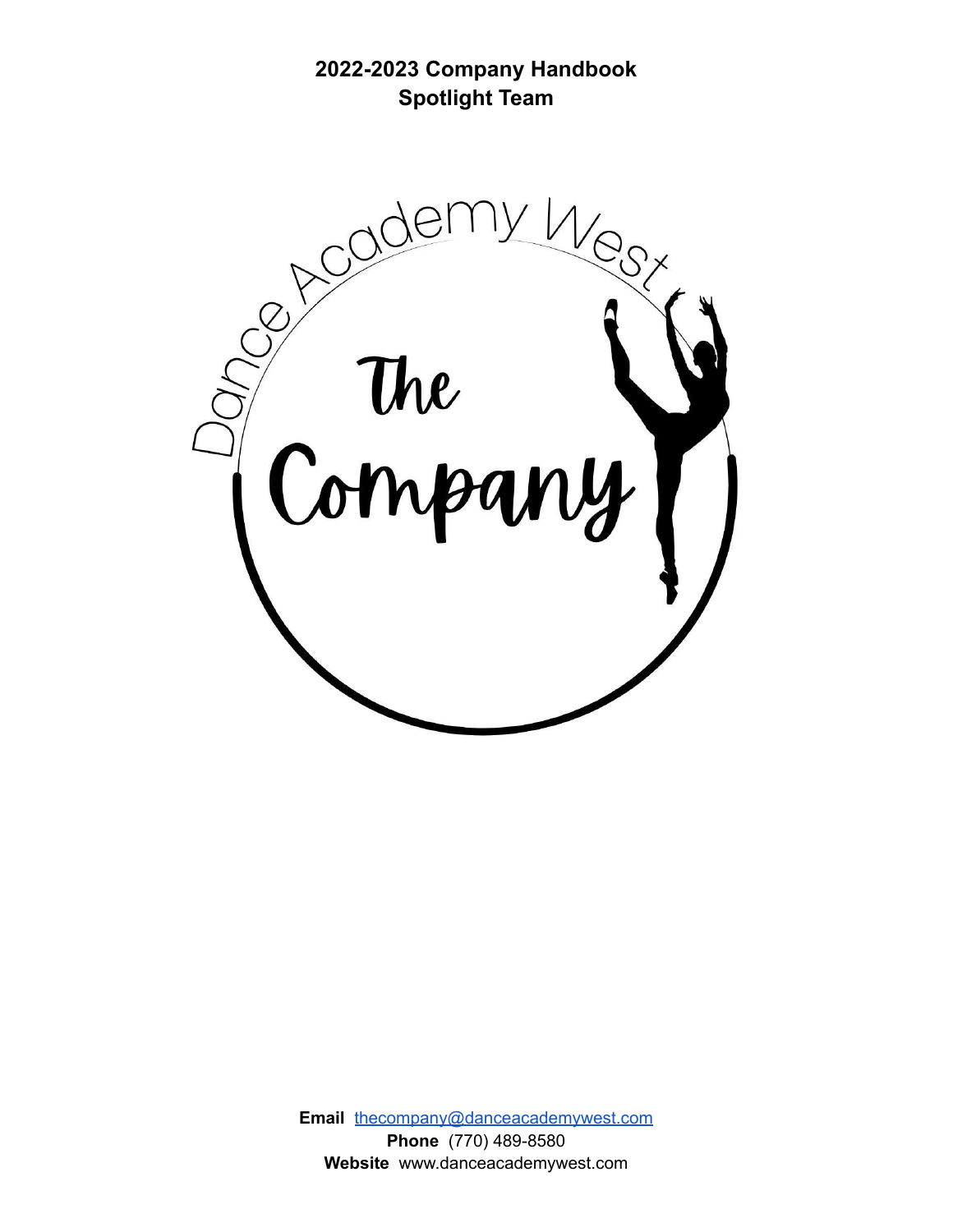**2022-2023 Company Handbook Spotlight Team**



**Email** [thecompany@danceacademywest.com](mailto:thecompany@danceacademywest.com) **Phone** (770) 489-8580 **Website** www.danceacademywest.com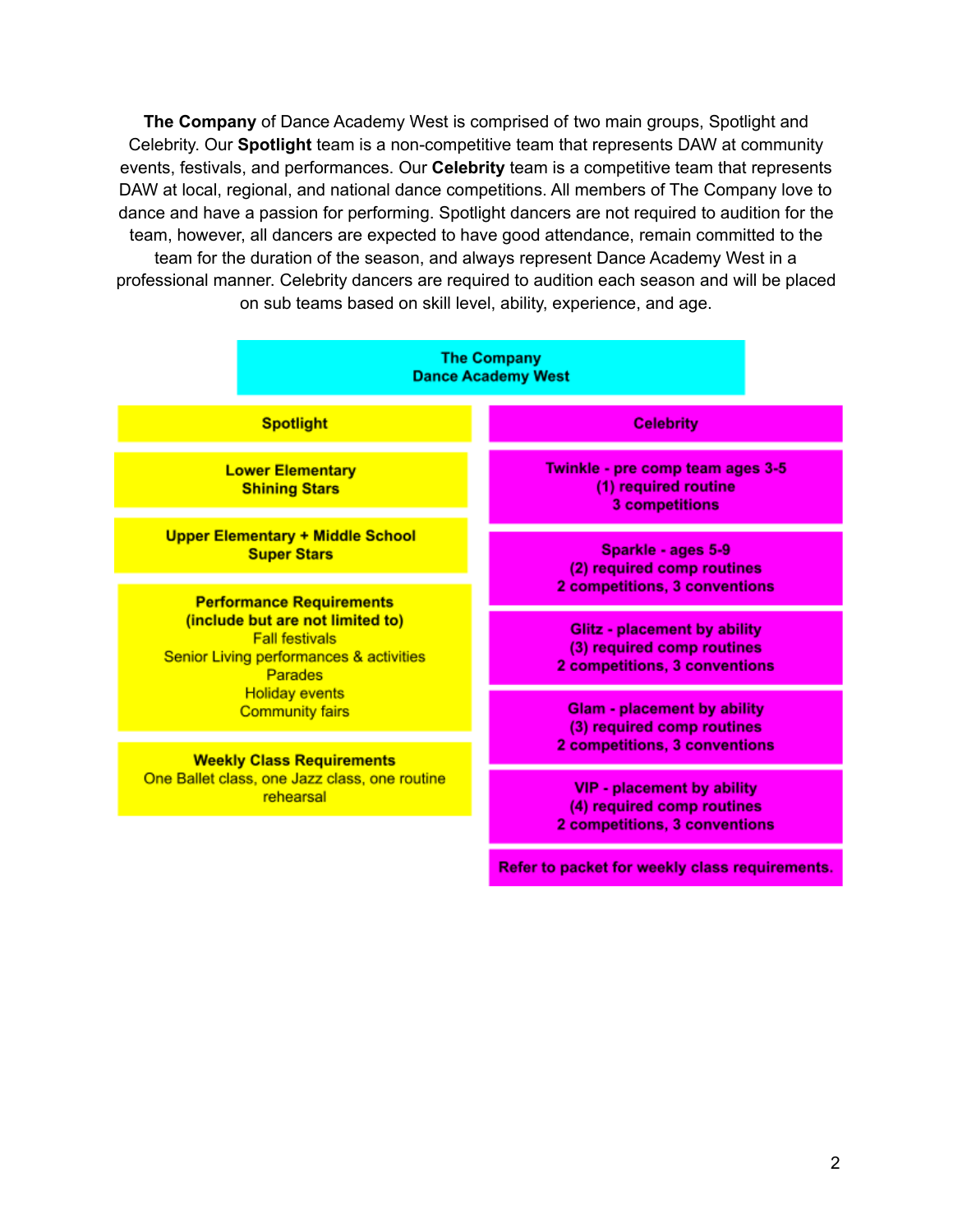**The Company** of Dance Academy West is comprised of two main groups, Spotlight and Celebrity. Our **Spotlight** team is a non-competitive team that represents DAW at community events, festivals, and performances. Our **Celebrity** team is a competitive team that represents DAW at local, regional, and national dance competitions. All members of The Company love to dance and have a passion for performing. Spotlight dancers are not required to audition for the team, however, all dancers are expected to have good attendance, remain committed to the team for the duration of the season, and always represent Dance Academy West in a professional manner. Celebrity dancers are required to audition each season and will be placed on sub teams based on skill level, ability, experience, and age.

| <b>The Company</b><br><b>Dance Academy West</b>                                                                                                                                                                                                                                                         |                                                                                                    |
|---------------------------------------------------------------------------------------------------------------------------------------------------------------------------------------------------------------------------------------------------------------------------------------------------------|----------------------------------------------------------------------------------------------------|
| <b>Spotlight</b>                                                                                                                                                                                                                                                                                        | <b>Celebrity</b>                                                                                   |
| <b>Lower Elementary</b><br><b>Shining Stars</b>                                                                                                                                                                                                                                                         | Twinkle - pre comp team ages 3-5<br>(1) required routine<br><b>3 competitions</b>                  |
| <b>Upper Elementary + Middle School</b><br><b>Super Stars</b>                                                                                                                                                                                                                                           | Sparkle - ages 5-9<br>(2) required comp routines<br>2 competitions, 3 conventions                  |
| <b>Performance Requirements</b><br>(include but are not limited to)<br><b>Fall festivals</b><br>Senior Living performances & activities<br>Parades<br><b>Holiday events</b><br><b>Community fairs</b><br><b>Weekly Class Requirements</b><br>One Ballet class, one Jazz class, one routine<br>rehearsal | <b>Glitz - placement by ability</b><br>(3) required comp routines<br>2 competitions, 3 conventions |
|                                                                                                                                                                                                                                                                                                         | <b>Glam - placement by ability</b><br>(3) required comp routines<br>2 competitions, 3 conventions  |
|                                                                                                                                                                                                                                                                                                         | VIP - placement by ability<br>(4) required comp routines<br>2 competitions, 3 conventions          |
|                                                                                                                                                                                                                                                                                                         | Refer to packet for weekly class requirements.                                                     |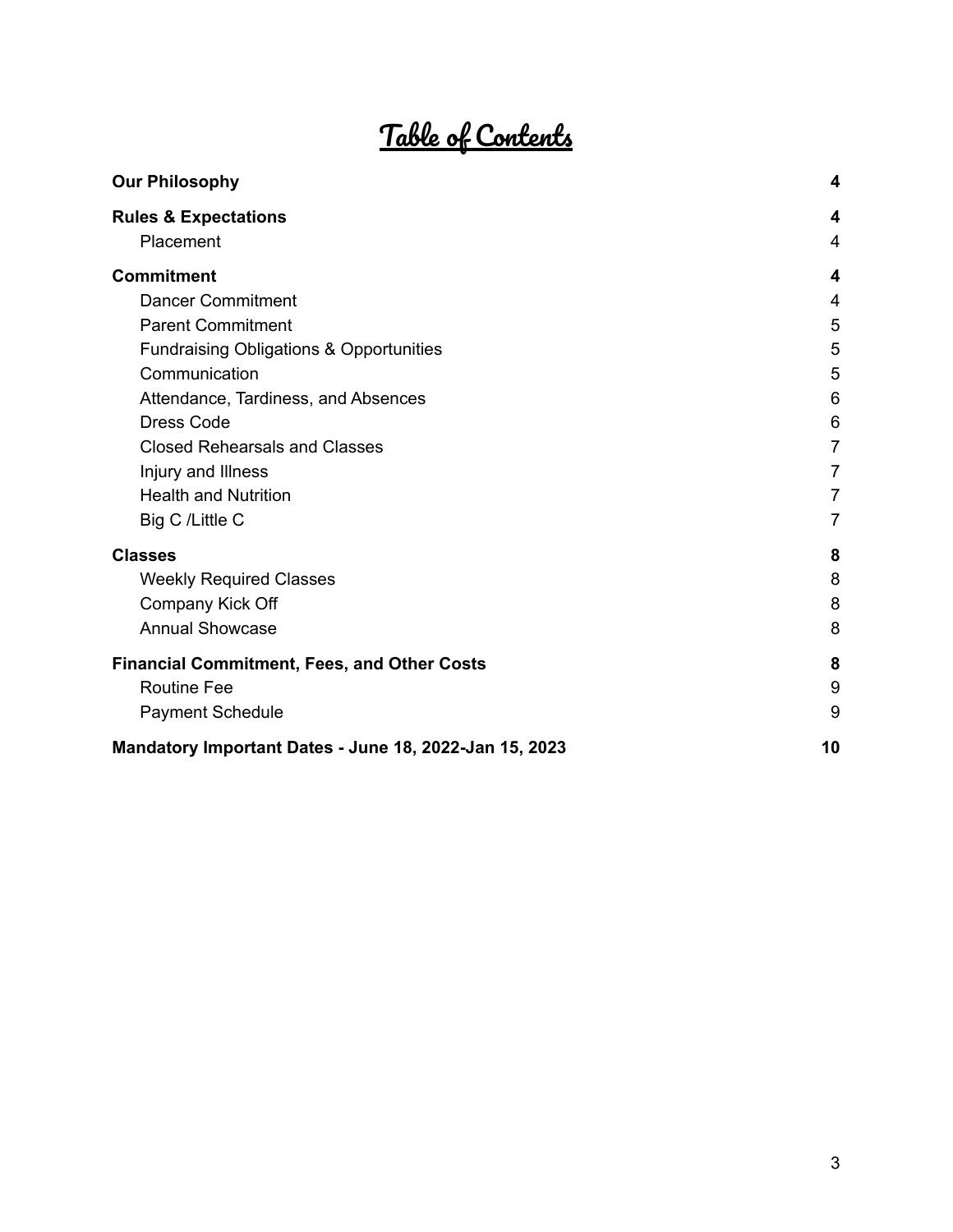# Table of Contents

| <b>Our Philosophy</b>                                  | 4              |
|--------------------------------------------------------|----------------|
| <b>Rules &amp; Expectations</b>                        | 4              |
| Placement                                              | $\overline{4}$ |
| <b>Commitment</b>                                      | 4              |
| <b>Dancer Commitment</b>                               | 4              |
| <b>Parent Commitment</b>                               | 5              |
| Fundraising Obligations & Opportunities                | 5              |
| Communication                                          | 5              |
| Attendance, Tardiness, and Absences                    | 6              |
| <b>Dress Code</b>                                      | 6              |
| <b>Closed Rehearsals and Classes</b>                   | $\overline{7}$ |
| Injury and Illness                                     | $\overline{7}$ |
| <b>Health and Nutrition</b>                            | $\overline{7}$ |
| Big C /Little C                                        | $\overline{7}$ |
| <b>Classes</b>                                         | 8              |
| <b>Weekly Required Classes</b>                         | 8              |
| Company Kick Off                                       | 8              |
| <b>Annual Showcase</b>                                 | 8              |
| <b>Financial Commitment, Fees, and Other Costs</b>     | 8              |
| <b>Routine Fee</b>                                     | 9              |
| <b>Payment Schedule</b>                                | 9              |
| Mandatory Important Dates - June 18, 2022-Jan 15, 2023 | 10             |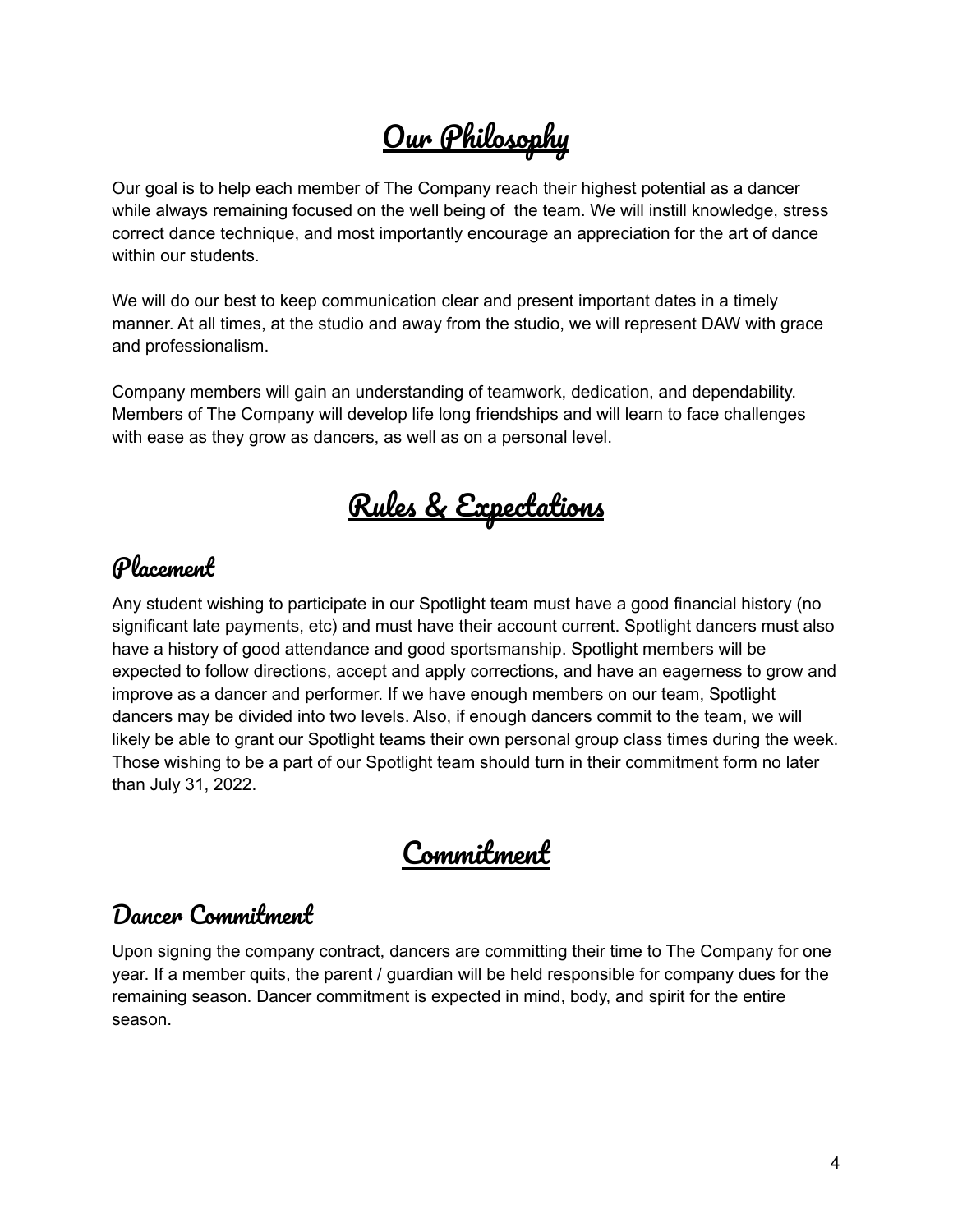# Our Philosophy

<span id="page-3-0"></span>Our goal is to help each member of The Company reach their highest potential as a dancer while always remaining focused on the well being of the team. We will instill knowledge, stress correct dance technique, and most importantly encourage an appreciation for the art of dance within our students.

We will do our best to keep communication clear and present important dates in a timely manner. At all times, at the studio and away from the studio, we will represent DAW with grace and professionalism.

<span id="page-3-1"></span>Company members will gain an understanding of teamwork, dedication, and dependability. Members of The Company will develop life long friendships and will learn to face challenges with ease as they grow as dancers, as well as on a personal level.

Rules & Expectations

#### <span id="page-3-2"></span>Placement

Any student wishing to participate in our Spotlight team must have a good financial history (no significant late payments, etc) and must have their account current. Spotlight dancers must also have a history of good attendance and good sportsmanship. Spotlight members will be expected to follow directions, accept and apply corrections, and have an eagerness to grow and improve as a dancer and performer. If we have enough members on our team, Spotlight dancers may be divided into two levels. Also, if enough dancers commit to the team, we will likely be able to grant our Spotlight teams their own personal group class times during the week. Those wishing to be a part of our Spotlight team should turn in their commitment form no later than July 31, 2022.

### Commitment

#### <span id="page-3-4"></span><span id="page-3-3"></span>Dancer Commitment

Upon signing the company contract, dancers are committing their time to The Company for one year. If a member quits, the parent / guardian will be held responsible for company dues for the remaining season. Dancer commitment is expected in mind, body, and spirit for the entire season.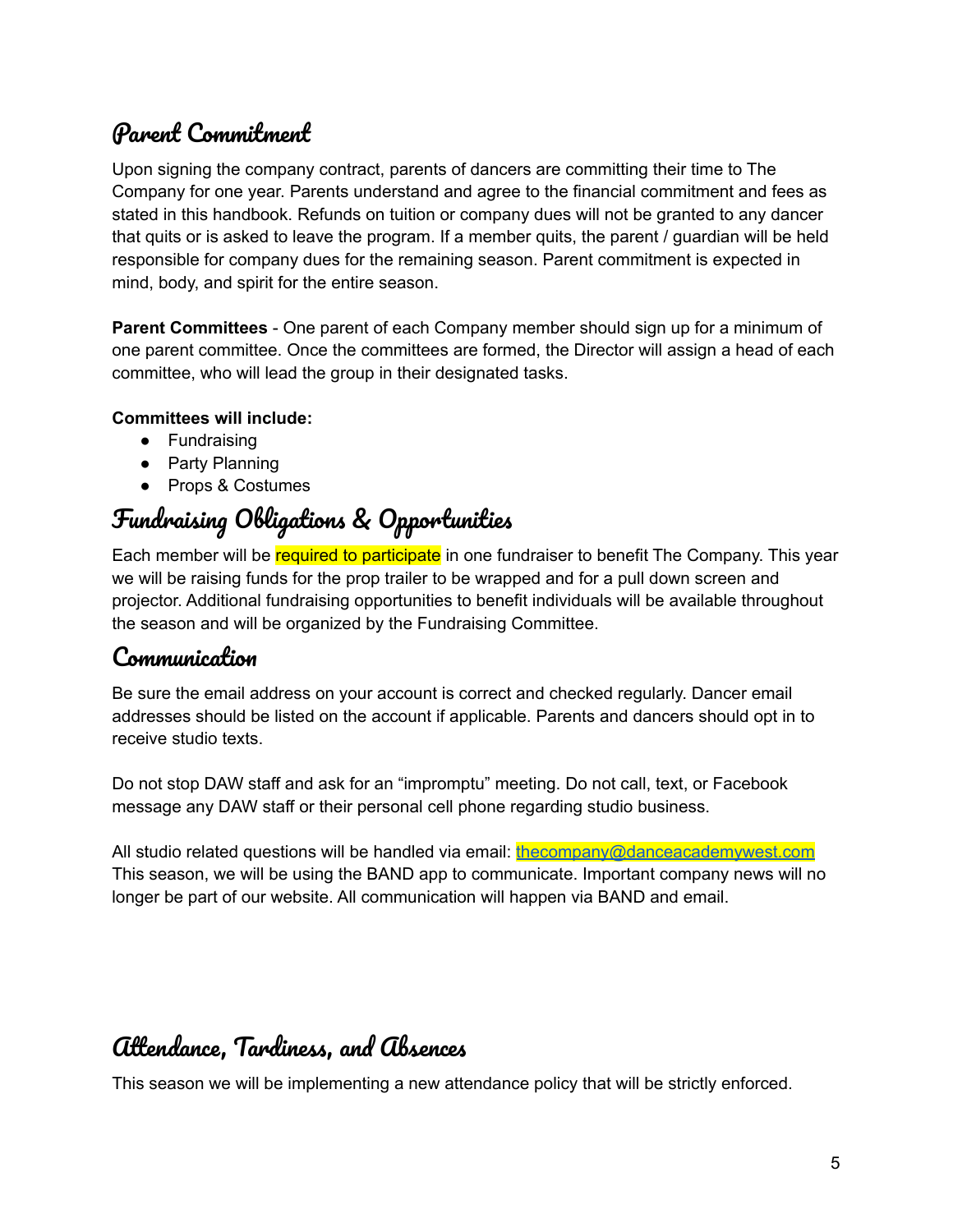### <span id="page-4-0"></span>Parent Commitment

Upon signing the company contract, parents of dancers are committing their time to The Company for one year. Parents understand and agree to the financial commitment and fees as stated in this handbook. Refunds on tuition or company dues will not be granted to any dancer that quits or is asked to leave the program. If a member quits, the parent / guardian will be held responsible for company dues for the remaining season. Parent commitment is expected in mind, body, and spirit for the entire season.

**Parent Committees** - One parent of each Company member should sign up for a minimum of one parent committee. Once the committees are formed, the Director will assign a head of each committee, who will lead the group in their designated tasks.

#### **Committees will include:**

- Fundraising
- Party Planning
- Props & Costumes

### <span id="page-4-1"></span>Fundraising Obligations & Opportunities

Each member will be required to participate in one fundraiser to benefit The Company. This year we will be raising funds for the prop trailer to be wrapped and for a pull down screen and projector. Additional fundraising opportunities to benefit individuals will be available throughout the season and will be organized by the Fundraising Committee.

#### <span id="page-4-2"></span>Communication

Be sure the email address on your account is correct and checked regularly. Dancer email addresses should be listed on the account if applicable. Parents and dancers should opt in to receive studio texts.

Do not stop DAW staff and ask for an "impromptu" meeting. Do not call, text, or Facebook message any DAW staff or their personal cell phone regarding studio business.

All studio related questions will be handled via email: the company@danceacademywest.com This season, we will be using the BAND app to communicate. Important company news will no longer be part of our website. All communication will happen via BAND and email.

### <span id="page-4-3"></span>Attendance, Tardiness, and Absences

This season we will be implementing a new attendance policy that will be strictly enforced.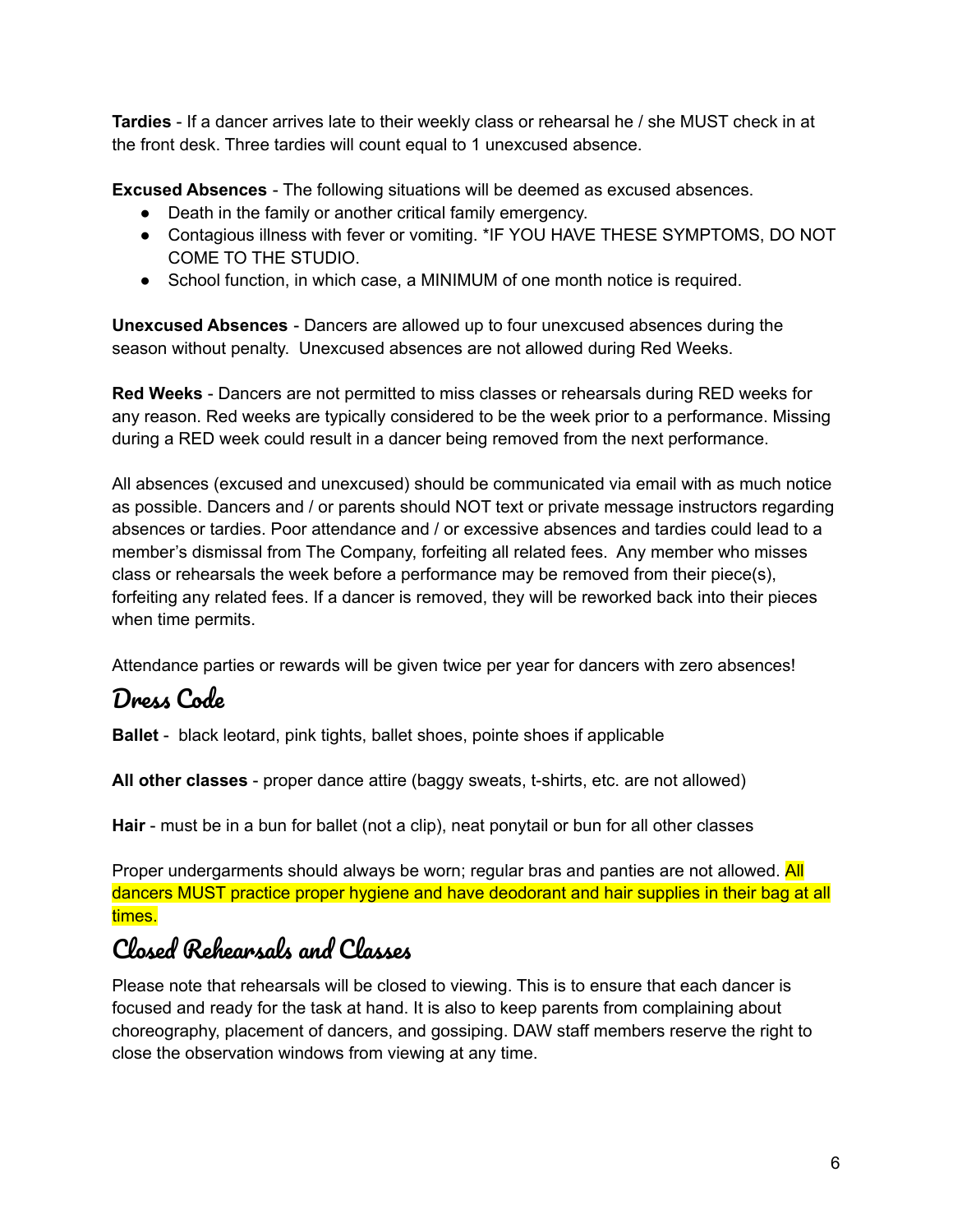**Tardies** - If a dancer arrives late to their weekly class or rehearsal he / she MUST check in at the front desk. Three tardies will count equal to 1 unexcused absence.

**Excused Absences** - The following situations will be deemed as excused absences.

- Death in the family or another critical family emergency.
- Contagious illness with fever or vomiting. \*IF YOU HAVE THESE SYMPTOMS, DO NOT COME TO THE STUDIO.
- School function, in which case, a MINIMUM of one month notice is required.

**Unexcused Absences** - Dancers are allowed up to four unexcused absences during the season without penalty. Unexcused absences are not allowed during Red Weeks.

**Red Weeks** - Dancers are not permitted to miss classes or rehearsals during RED weeks for any reason. Red weeks are typically considered to be the week prior to a performance. Missing during a RED week could result in a dancer being removed from the next performance.

All absences (excused and unexcused) should be communicated via email with as much notice as possible. Dancers and / or parents should NOT text or private message instructors regarding absences or tardies. Poor attendance and / or excessive absences and tardies could lead to a member's dismissal from The Company, forfeiting all related fees. Any member who misses class or rehearsals the week before a performance may be removed from their piece(s), forfeiting any related fees. If a dancer is removed, they will be reworked back into their pieces when time permits.

Attendance parties or rewards will be given twice per year for dancers with zero absences!

### <span id="page-5-0"></span>Dress Code

**Ballet** - black leotard, pink tights, ballet shoes, pointe shoes if applicable

**All other classes** - proper dance attire (baggy sweats, t-shirts, etc. are not allowed)

**Hair** - must be in a bun for ballet (not a clip), neat ponytail or bun for all other classes

Proper undergarments should always be worn; regular bras and panties are not allowed. All dancers MUST practice proper hygiene and have deodorant and hair supplies in their bag at all times.

### <span id="page-5-1"></span>Closed Rehearsals and Classes

Please note that rehearsals will be closed to viewing. This is to ensure that each dancer is focused and ready for the task at hand. It is also to keep parents from complaining about choreography, placement of dancers, and gossiping. DAW staff members reserve the right to close the observation windows from viewing at any time.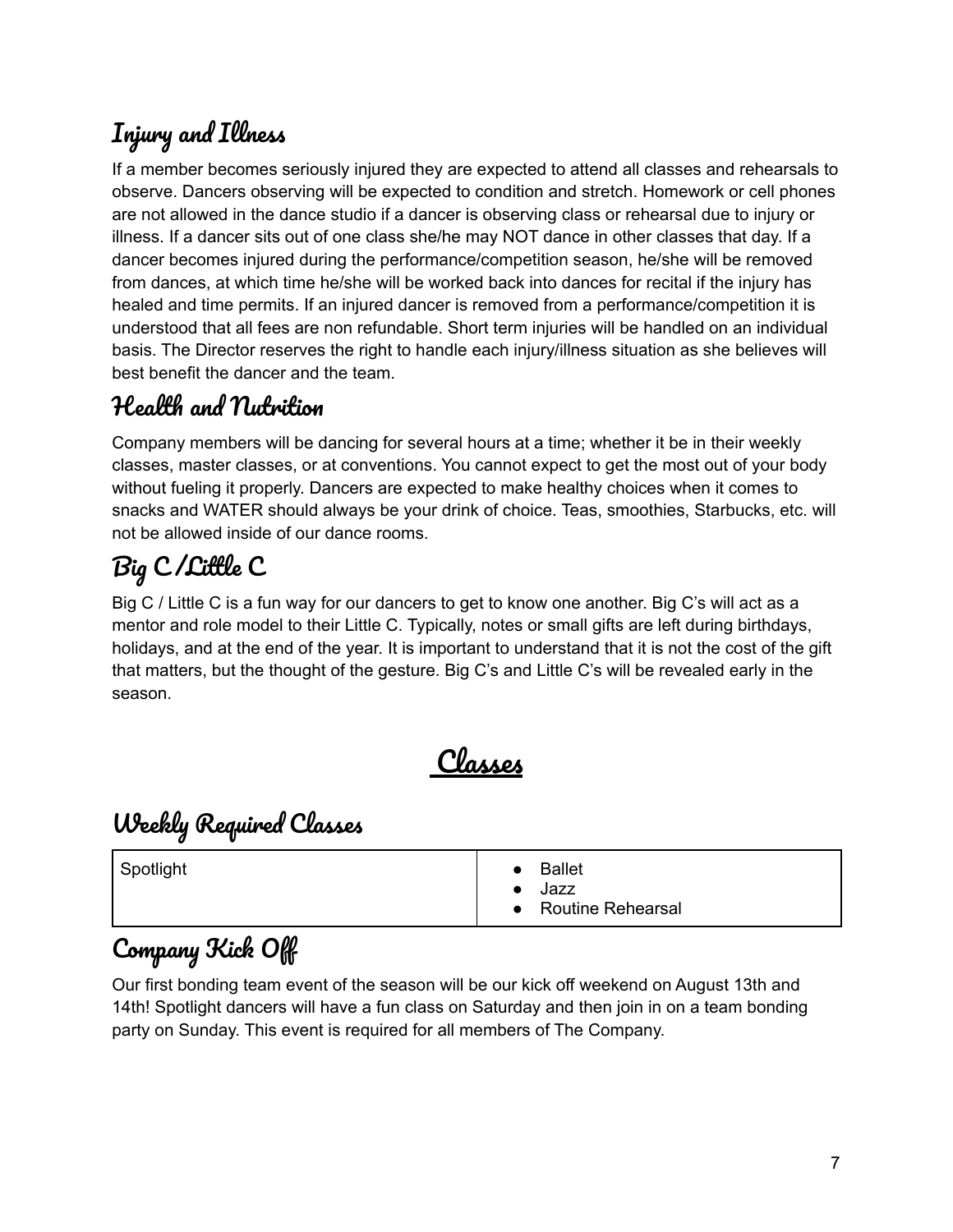### <span id="page-6-0"></span>Injury and Illness

If a member becomes seriously injured they are expected to attend all classes and rehearsals to observe. Dancers observing will be expected to condition and stretch. Homework or cell phones are not allowed in the dance studio if a dancer is observing class or rehearsal due to injury or illness. If a dancer sits out of one class she/he may NOT dance in other classes that day. If a dancer becomes injured during the performance/competition season, he/she will be removed from dances, at which time he/she will be worked back into dances for recital if the injury has healed and time permits. If an injured dancer is removed from a performance/competition it is understood that all fees are non refundable. Short term injuries will be handled on an individual basis. The Director reserves the right to handle each injury/illness situation as she believes will best benefit the dancer and the team.

#### <span id="page-6-1"></span>Health and Nutwition

Company members will be dancing for several hours at a time; whether it be in their weekly classes, master classes, or at conventions. You cannot expect to get the most out of your body without fueling it properly. Dancers are expected to make healthy choices when it comes to snacks and WATER should always be your drink of choice. Teas, smoothies, Starbucks, etc. will not be allowed inside of our dance rooms.

## <span id="page-6-2"></span>Big C /Little C

Big C / Little C is a fun way for our dancers to get to know one another. Big C's will act as a mentor and role model to their Little C. Typically, notes or small gifts are left during birthdays, holidays, and at the end of the year. It is important to understand that it is not the cost of the gift that matters, but the thought of the gesture. Big C's and Little C's will be revealed early in the season.

Classes

### <span id="page-6-4"></span><span id="page-6-3"></span>Weekly Required Classes

| Spotlight | <b>Ballet</b><br>Jazz<br>• Routine Rehearsal |
|-----------|----------------------------------------------|
|-----------|----------------------------------------------|

### <span id="page-6-5"></span>Company Kick Off

Our first bonding team event of the season will be our kick off weekend on August 13th and 14th! Spotlight dancers will have a fun class on Saturday and then join in on a team bonding party on Sunday. This event is required for all members of The Company.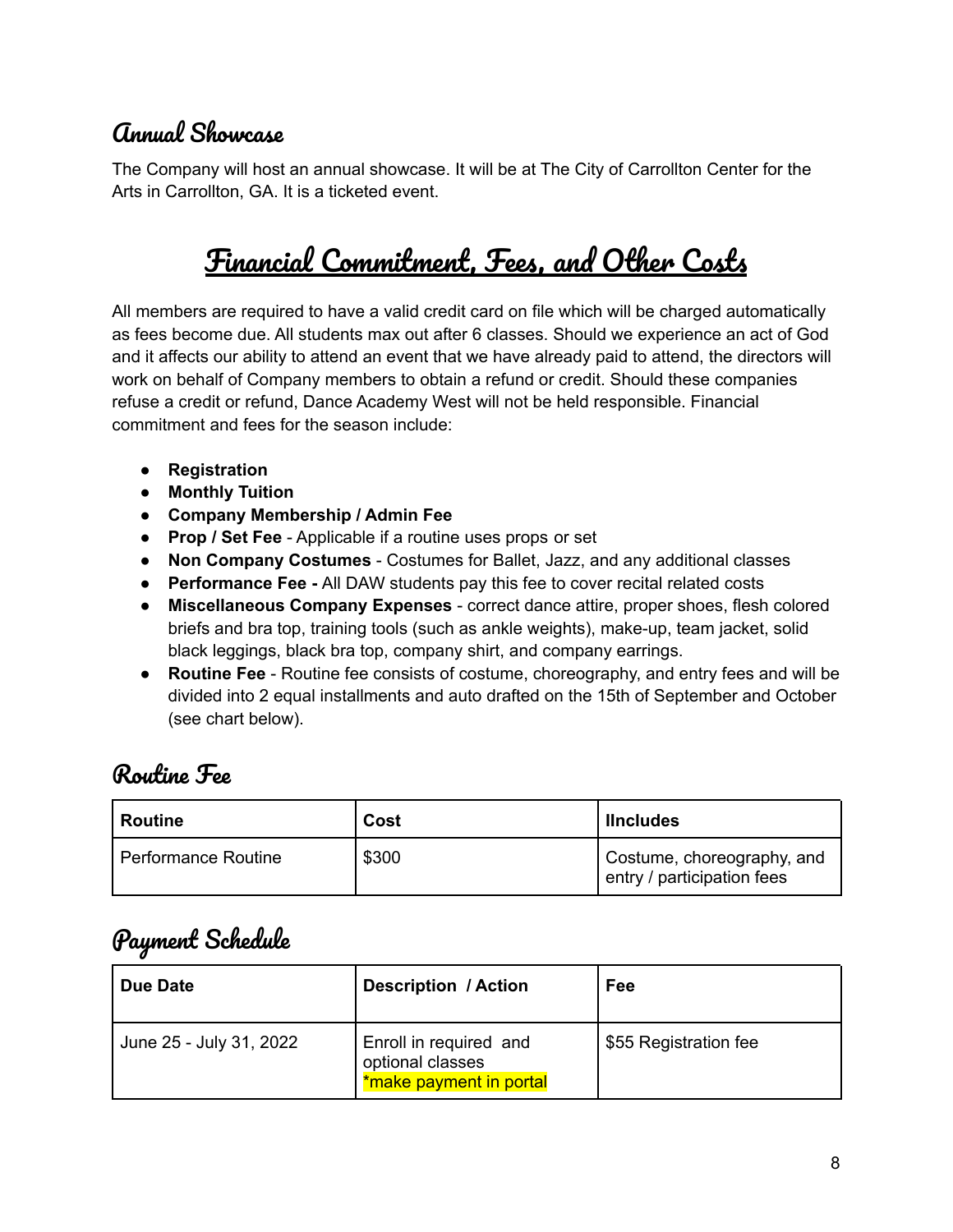### <span id="page-7-0"></span>Annual Showcase

<span id="page-7-1"></span>The Company will host an annual showcase. It will be at The City of Carrollton Center for the Arts in Carrollton, GA. It is a ticketed event.

# Financial Commitment, Fees, and Other Costs

All members are required to have a valid credit card on file which will be charged automatically as fees become due. All students max out after 6 classes. Should we experience an act of God and it affects our ability to attend an event that we have already paid to attend, the directors will work on behalf of Company members to obtain a refund or credit. Should these companies refuse a credit or refund, Dance Academy West will not be held responsible. Financial commitment and fees for the season include:

- **Registration**
- **● Monthly Tuition**
- **Company Membership / Admin Fee**
- **Prop / Set Fee** Applicable if a routine uses props or set
- **Non Company Costumes** Costumes for Ballet, Jazz, and any additional classes
- **● Performance Fee -** All DAW students pay this fee to cover recital related costs
- **Miscellaneous Company Expenses** correct dance attire, proper shoes, flesh colored briefs and bra top, training tools (such as ankle weights), make-up, team jacket, solid black leggings, black bra top, company shirt, and company earrings.
- **Routine Fee** Routine fee consists of costume, choreography, and entry fees and will be divided into 2 equal installments and auto drafted on the 15th of September and October (see chart below).

#### <span id="page-7-2"></span>Routine Fee

| Routine               | Cost  | <b>Ilncludes</b>                                         |
|-----------------------|-------|----------------------------------------------------------|
| l Performance Routine | \$300 | Costume, choreography, and<br>entry / participation fees |

### <span id="page-7-3"></span>Payment Schedule

| Due Date                | <b>Description / Action</b>                                           | Fee                   |
|-------------------------|-----------------------------------------------------------------------|-----------------------|
| June 25 - July 31, 2022 | Enroll in required and<br>optional classes<br>*make payment in portal | \$55 Registration fee |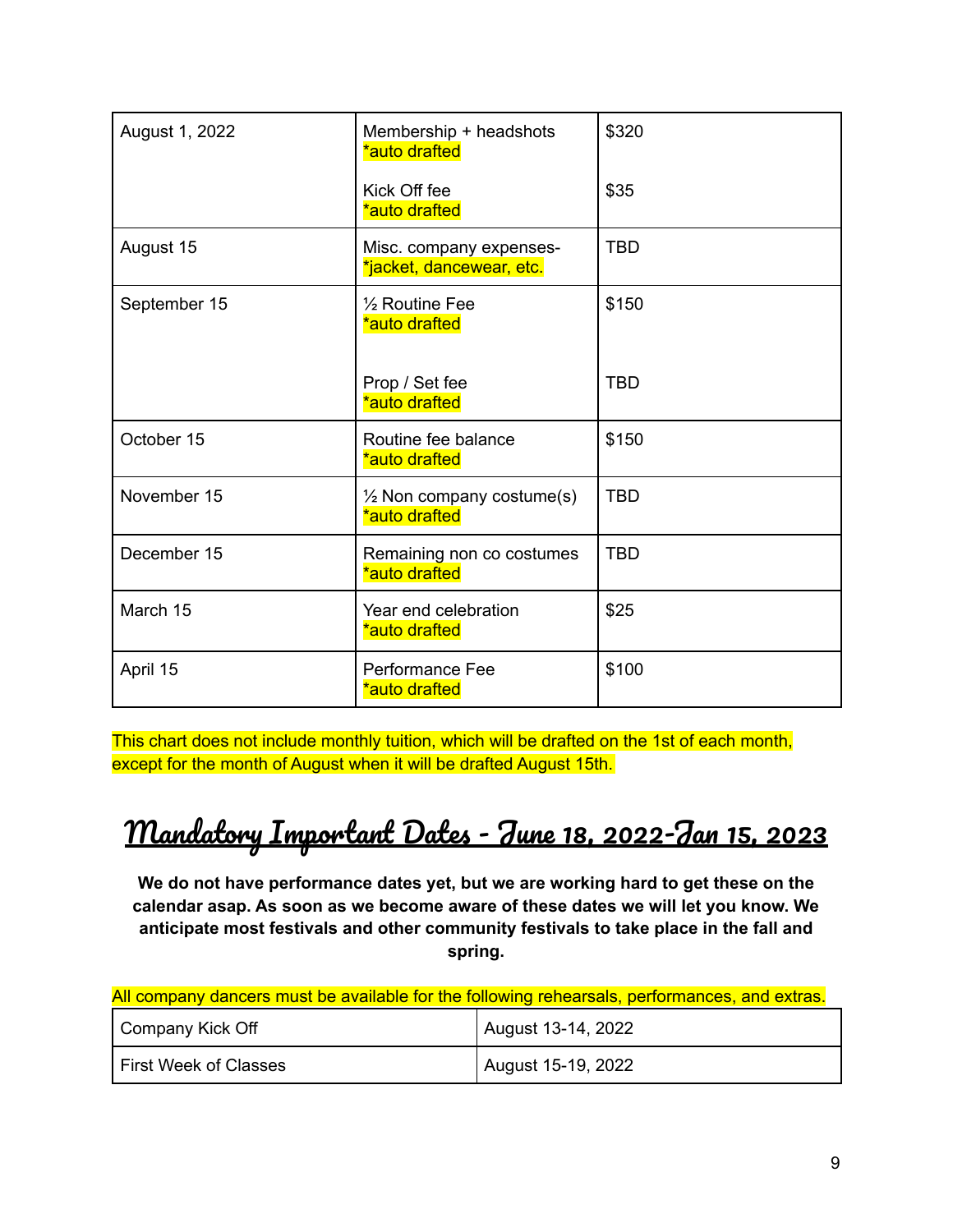| August 1, 2022 | Membership + headshots<br>*auto drafted               | \$320      |
|----------------|-------------------------------------------------------|------------|
|                | Kick Off fee<br>*auto drafted                         | \$35       |
| August 15      | Misc. company expenses-<br>*jacket, dancewear, etc.   | <b>TBD</b> |
| September 15   | 1/ <sub>2</sub> Routine Fee<br>*auto drafted          | \$150      |
|                | Prop / Set fee<br>*auto drafted                       | <b>TBD</b> |
| October 15     | Routine fee balance<br>*auto drafted                  | \$150      |
| November 15    | $\frac{1}{2}$ Non company costume(s)<br>*auto drafted | <b>TBD</b> |
| December 15    | Remaining non co costumes<br>*auto drafted            | <b>TBD</b> |
| March 15       | Year end celebration<br>*auto drafted                 | \$25       |
| April 15       | Performance Fee<br>*auto drafted                      | \$100      |

This chart does not include monthly tuition, which will be drafted on the 1st of each month, except for the month of August when it will be drafted August 15th.

# <span id="page-8-0"></span>Mandatory Important Dates - June 18, 2022-Jan 15, 2023

**We do not have performance dates yet, but we are working hard to get these on the calendar asap. As soon as we become aware of these dates we will let you know. We anticipate most festivals and other community festivals to take place in the fall and spring.**

| All company dancers must be available for the following rehearsals, performances, and extras. |                    |
|-----------------------------------------------------------------------------------------------|--------------------|
| Company Kick Off                                                                              | August 13-14, 2022 |
| <b>First Week of Classes</b>                                                                  | August 15-19, 2022 |